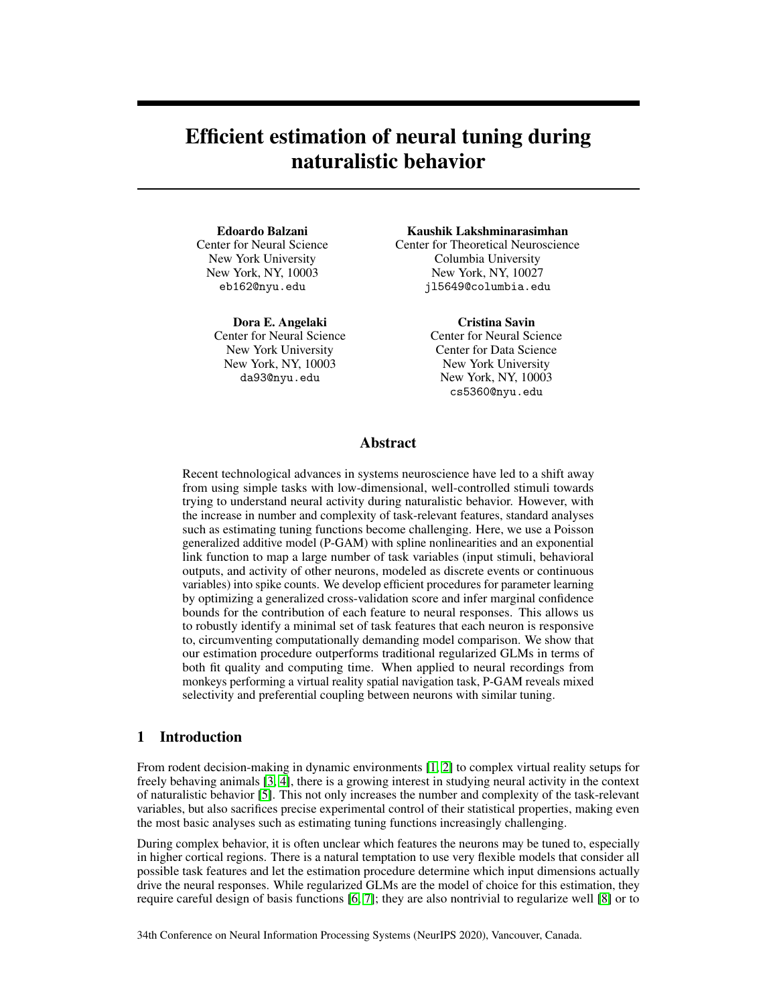# Efficient estimation of neural tuning during naturalistic behavior

#### Edoardo Balzani

Center for Neural Science New York University New York, NY, 10003 eb162@nyu.edu

Dora E. Angelaki Center for Neural Science New York University New York, NY, 10003 da93@nyu.edu

#### Kaushik Lakshminarasimhan

Center for Theoretical Neuroscience Columbia University New York, NY, 10027 jl5649@columbia.edu

Cristina Savin

Center for Neural Science Center for Data Science New York University New York, NY, 10003 cs5360@nyu.edu

## Abstract

Recent technological advances in systems neuroscience have led to a shift away from using simple tasks with low-dimensional, well-controlled stimuli towards trying to understand neural activity during naturalistic behavior. However, with the increase in number and complexity of task-relevant features, standard analyses such as estimating tuning functions become challenging. Here, we use a Poisson generalized additive model (P-GAM) with spline nonlinearities and an exponential link function to map a large number of task variables (input stimuli, behavioral outputs, and activity of other neurons, modeled as discrete events or continuous variables) into spike counts. We develop efficient procedures for parameter learning by optimizing a generalized cross-validation score and infer marginal confidence bounds for the contribution of each feature to neural responses. This allows us to robustly identify a minimal set of task features that each neuron is responsive to, circumventing computationally demanding model comparison. We show that our estimation procedure outperforms traditional regularized GLMs in terms of both fit quality and computing time. When applied to neural recordings from monkeys performing a virtual reality spatial navigation task, P-GAM reveals mixed selectivity and preferential coupling between neurons with similar tuning.

#### 1 Introduction

From rodent decision-making in dynamic environments [\[1,](#page-8-0) [2\]](#page-8-1) to complex virtual reality setups for freely behaving animals [\[3,](#page-8-2) [4\]](#page-9-0), there is a growing interest in studying neural activity in the context of naturalistic behavior [\[5\]](#page-9-1). This not only increases the number and complexity of the task-relevant variables, but also sacrifices precise experimental control of their statistical properties, making even the most basic analyses such as estimating tuning functions increasingly challenging.

During complex behavior, it is often unclear which features the neurons may be tuned to, especially in higher cortical regions. There is a natural temptation to use very flexible models that consider all possible task features and let the estimation procedure determine which input dimensions actually drive the neural responses. While regularized GLMs are the model of choice for this estimation, they require careful design of basis functions [\[6,](#page-9-2) [7\]](#page-9-3); they are also nontrivial to regularize well [\[8\]](#page-9-4) or to

34th Conference on Neural Information Processing Systems (NeurIPS 2020), Vancouver, Canada.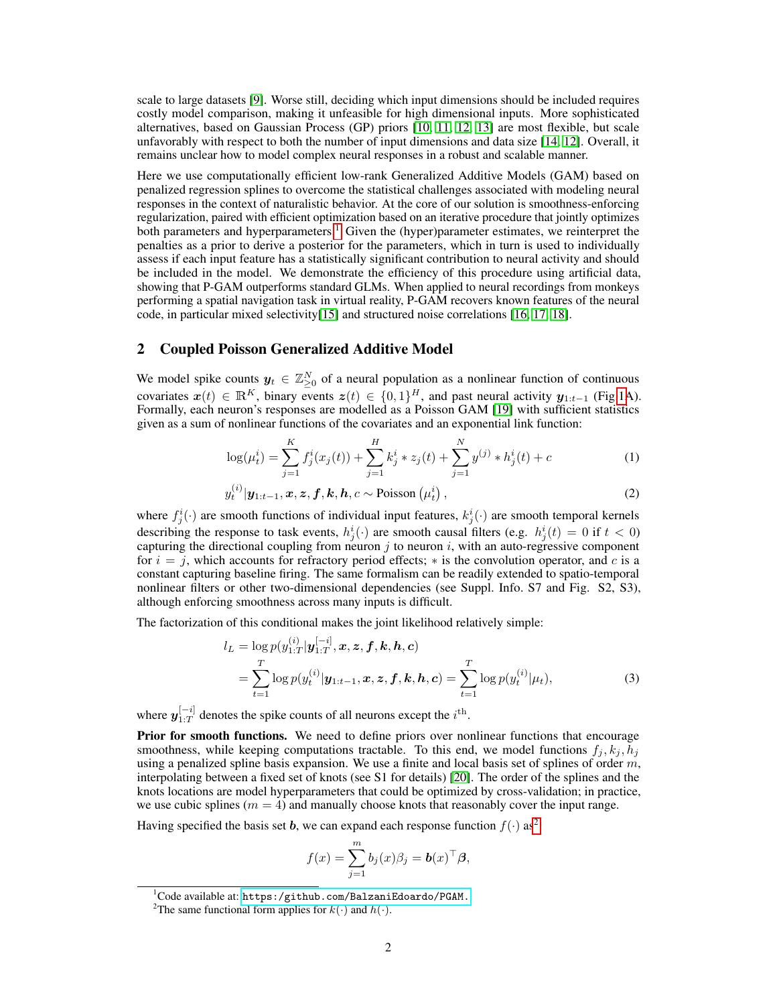scale to large datasets [\[9\]](#page-9-5). Worse still, deciding which input dimensions should be included requires costly model comparison, making it unfeasible for high dimensional inputs. More sophisticated alternatives, based on Gaussian Process (GP) priors [\[10,](#page-9-6) [11,](#page-9-7) [12,](#page-9-8) [13\]](#page-9-9) are most flexible, but scale unfavorably with respect to both the number of input dimensions and data size [\[14,](#page-9-10) [12\]](#page-9-8). Overall, it remains unclear how to model complex neural responses in a robust and scalable manner.

Here we use computationally efficient low-rank Generalized Additive Models (GAM) based on penalized regression splines to overcome the statistical challenges associated with modeling neural responses in the context of naturalistic behavior. At the core of our solution is smoothness-enforcing regularization, paired with efficient optimization based on an iterative procedure that jointly optimizes both parameters and hyperparameters.<sup>[1](#page-1-0)</sup> Given the (hyper)parameter estimates, we reinterpret the penalties as a prior to derive a posterior for the parameters, which in turn is used to individually assess if each input feature has a statistically significant contribution to neural activity and should be included in the model. We demonstrate the efficiency of this procedure using artificial data, showing that P-GAM outperforms standard GLMs. When applied to neural recordings from monkeys performing a spatial navigation task in virtual reality, P-GAM recovers known features of the neural code, in particular mixed selectivity[\[15\]](#page-9-11) and structured noise correlations [\[16,](#page-9-12) [17,](#page-9-13) [18\]](#page-9-14).

#### 2 Coupled Poisson Generalized Additive Model

We model spike counts  $y_t \in \mathbb{Z}_{\geq 0}^N$  of a neural population as a nonlinear function of continuous covariates  $x(t) \in \mathbb{R}^K$ , binary events  $z(t) \in \{0,1\}^H$ , and past neural activity  $y_{1:t-1}$  (Fig[.1A](#page-2-0)). Formally, each neuron's responses are modelled as a Poisson GAM [\[19\]](#page-9-15) with sufficient statistics given as a sum of nonlinear functions of the covariates and an exponential link function:

$$
\log(\mu_t^i) = \sum_{j=1}^K f_j^i(x_j(t)) + \sum_{j=1}^H k_j^i * z_j(t) + \sum_{j=1}^N y^{(j)} * h_j^i(t) + c
$$
 (1)

$$
y_t^{(i)}|\mathbf{y}_{1:t-1},\mathbf{x},\mathbf{z},\mathbf{f},\mathbf{k},\mathbf{h},c \sim \text{Poisson}\left(\mu_t^i\right),\tag{2}
$$

where  $f_j^i(\cdot)$  are smooth functions of individual input features,  $k_j^i(\cdot)$  are smooth temporal kernels describing the response to task events,  $h_j^i(\cdot)$  are smooth causal filters (e.g.  $h_j^i(t) = 0$  if  $t < 0$ ) capturing the directional coupling from neuron  $j$  to neuron  $i$ , with an auto-regressive component for  $i = j$ , which accounts for refractory period effects;  $*$  is the convolution operator, and c is a constant capturing baseline firing. The same formalism can be readily extended to spatio-temporal nonlinear filters or other two-dimensional dependencies (see Suppl. Info. S7 and Fig. S2, S3), although enforcing smoothness across many inputs is difficult.

The factorization of this conditional makes the joint likelihood relatively simple:

$$
l_L = \log p(y_{1:T}^{(i)} | \mathbf{y}_{1:T}^{[-i]}, \mathbf{x}, \mathbf{z}, \mathbf{f}, \mathbf{k}, \mathbf{h}, \mathbf{c})
$$
  
= 
$$
\sum_{t=1}^{T} \log p(y_t^{(i)} | \mathbf{y}_{1:t-1}, \mathbf{x}, \mathbf{z}, \mathbf{f}, \mathbf{k}, \mathbf{h}, \mathbf{c}) = \sum_{t=1}^{T} \log p(y_t^{(i)} | \mu_t),
$$
 (3)

where  $y_{1\cdot T}^{[-i]}$  $\frac{1-i}{1:T}$  denotes the spike counts of all neurons except the  $i^{\text{th}}$ .

Prior for smooth functions. We need to define priors over nonlinear functions that encourage smoothness, while keeping computations tractable. To this end, we model functions  $f_j, k_j, h_j$ using a penalized spline basis expansion. We use a finite and local basis set of splines of order  $m$ , interpolating between a fixed set of knots (see S1 for details) [\[20\]](#page-9-16). The order of the splines and the knots locations are model hyperparameters that could be optimized by cross-validation; in practice, we use cubic splines ( $m = 4$ ) and manually choose knots that reasonably cover the input range.

Having specified the basis set b, we can expand each response function  $f(\cdot)$  as<sup>[2](#page-1-1)</sup>

<span id="page-1-2"></span>
$$
f(x) = \sum_{j=1}^{m} b_j(x)\beta_j = \mathbf{b}(x)^{\top}\boldsymbol{\beta},
$$

<span id="page-1-0"></span><sup>1</sup>Code available at: <https:/github.com/BalzaniEdoardo/PGAM.>

<span id="page-1-1"></span><sup>&</sup>lt;sup>2</sup>The same functional form applies for  $k(\cdot)$  and  $h(\cdot)$ .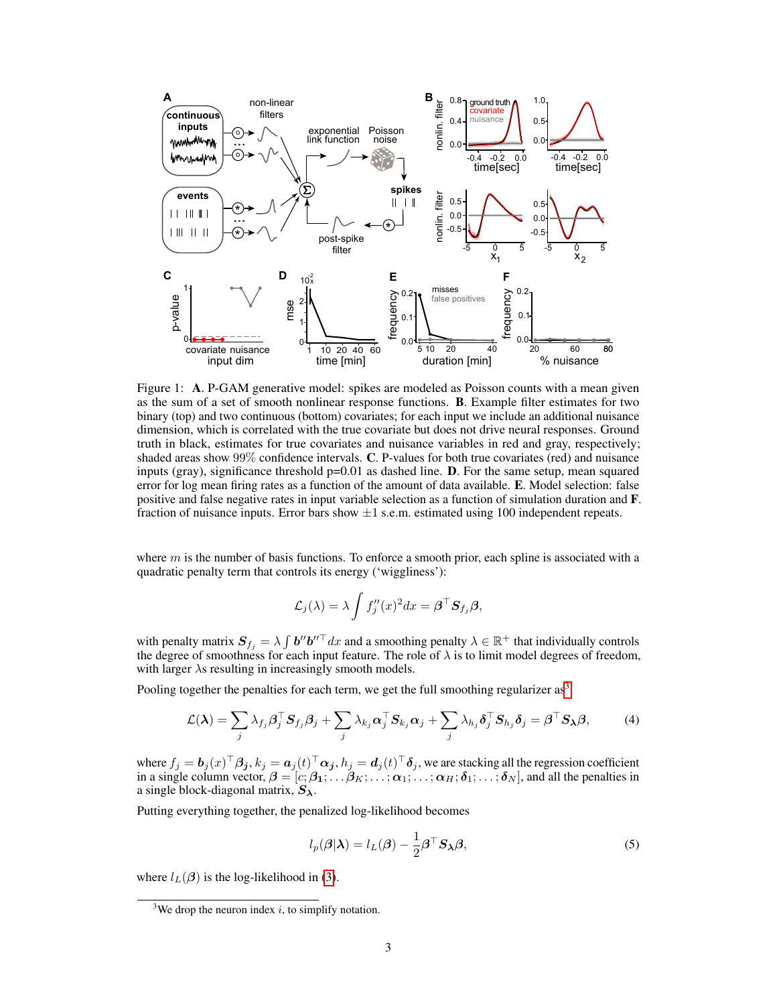

<span id="page-2-0"></span>Figure 1: A. P-GAM generative model: spikes are modeled as Poisson counts with a mean given as the sum of a set of smooth nonlinear response functions. B. Example filter estimates for two binary (top) and two continuous (bottom) covariates; for each input we include an additional nuisance dimension, which is correlated with the true covariate but does not drive neural responses. Ground truth in black, estimates for true covariates and nuisance variables in red and gray, respectively; shaded areas show 99% confidence intervals. C. P-values for both true covariates (red) and nuisance inputs (gray), significance threshold  $p=0.01$  as dashed line. **D**. For the same setup, mean squared error for log mean firing rates as a function of the amount of data available. E. Model selection: false positive and false negative rates in input variable selection as a function of simulation duration and F. fraction of nuisance inputs. Error bars show  $\pm 1$  s.e.m. estimated using 100 independent repeats.

where  $m$  is the number of basis functions. To enforce a smooth prior, each spline is associated with a quadratic penalty term that controls its energy ('wiggliness'):

$$
\mathcal{L}_j(\lambda) = \lambda \int f_j''(x)^2 dx = \boldsymbol{\beta}^\top \mathbf{S}_{f_j} \boldsymbol{\beta},
$$

with penalty matrix  $S_{f_j} = \lambda \int b'' b''^{\top} dx$  and a smoothing penalty  $\lambda \in \mathbb{R}^+$  that individually controls the degree of smoothness for each input feature. The role of  $\lambda$  is to limit model degrees of freedom, with larger  $\lambda$ s resulting in increasingly smooth models.

Pooling together the penalties for each term, we get the full smoothing regularizer  $as<sup>3</sup>$  $as<sup>3</sup>$  $as<sup>3</sup>$ 

$$
\mathcal{L}(\boldsymbol{\lambda}) = \sum_{j} \lambda_{f_j} \boldsymbol{\beta}_{j}^{\top} \boldsymbol{S}_{f_j} \boldsymbol{\beta}_{j} + \sum_{j} \lambda_{k_j} \boldsymbol{\alpha}_{j}^{\top} \boldsymbol{S}_{k_j} \boldsymbol{\alpha}_{j} + \sum_{j} \lambda_{h_j} \boldsymbol{\delta}_{j}^{\top} \boldsymbol{S}_{h_j} \boldsymbol{\delta}_{j} = \boldsymbol{\beta}^{\top} \boldsymbol{S}_{\boldsymbol{\lambda}} \boldsymbol{\beta},
$$
(4)

where  $f_j=\bm{b}_j(x)^\top\bm{\beta_j}, k_j=\bm{a}_j(t)^\top\bm{\alpha_j}, h_j=\bm{d}_j(t)^\top\bm{\delta}_j,$  we are stacking all the regression coefficient in a single column vector,  $\beta = [c; \beta_1; \dots; \beta_K; \dots; \alpha_1; \dots; \alpha_H; \delta_1; \dots; \delta_N]$ , and all the penalties in a single block-diagonal matrix,  $S_{\lambda}$ .

Putting everything together, the penalized log-likelihood becomes

<span id="page-2-3"></span><span id="page-2-2"></span>
$$
l_p(\boldsymbol{\beta}|\boldsymbol{\lambda}) = l_L(\boldsymbol{\beta}) - \frac{1}{2}\boldsymbol{\beta}^\top \mathbf{S}_{\boldsymbol{\lambda}} \boldsymbol{\beta},
$$
\n(5)

where  $l_L(\boldsymbol{\beta})$  is the log-likelihood in [\(3\)](#page-1-2).

<span id="page-2-1"></span><sup>&</sup>lt;sup>3</sup>We drop the neuron index i, to simplify notation.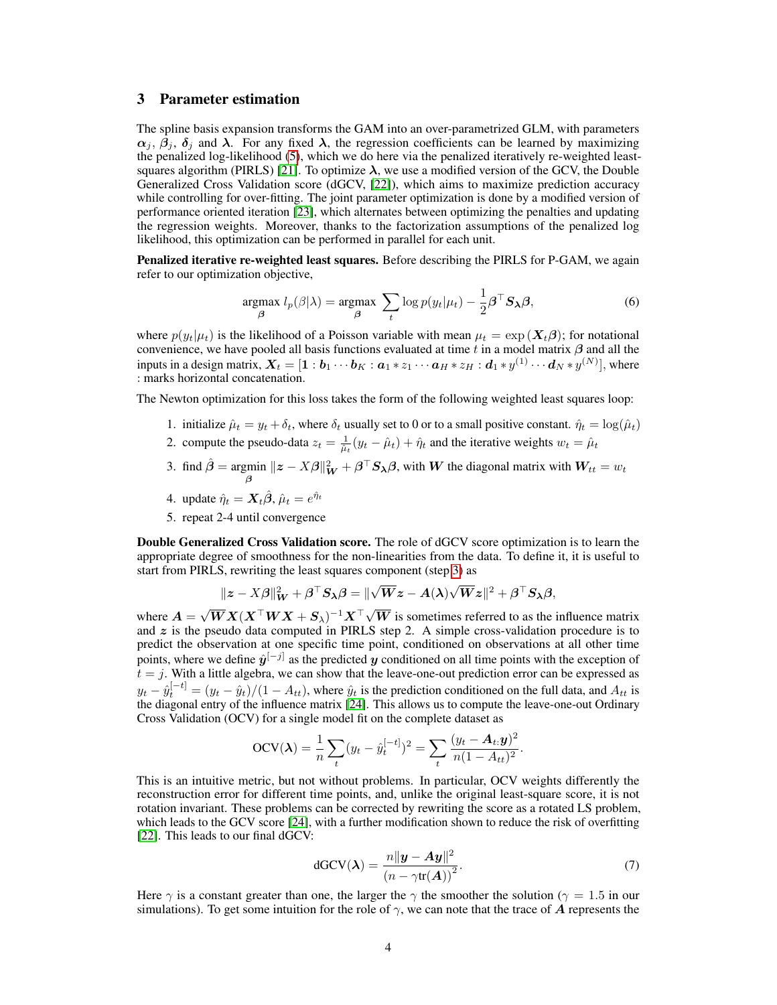# 3 Parameter estimation

The spline basis expansion transforms the GAM into an over-parametrized GLM, with parameters  $\alpha_i$ ,  $\beta_i$ ,  $\delta_j$  and  $\lambda$ . For any fixed  $\lambda$ , the regression coefficients can be learned by maximizing the penalized log-likelihood [\(5\)](#page-2-2), which we do here via the penalized iteratively re-weighted least-squares algorithm (PIRLS) [\[21\]](#page-9-17). To optimize  $\lambda$ , we use a modified version of the GCV, the Double Generalized Cross Validation score (dGCV, [\[22\]](#page-9-18)), which aims to maximize prediction accuracy while controlling for over-fitting. The joint parameter optimization is done by a modified version of performance oriented iteration [\[23\]](#page-9-19), which alternates between optimizing the penalties and updating the regression weights. Moreover, thanks to the factorization assumptions of the penalized log likelihood, this optimization can be performed in parallel for each unit.

Penalized iterative re-weighted least squares. Before describing the PIRLS for P-GAM, we again refer to our optimization objective,

$$
\underset{\beta}{\text{argmax}} \ l_p(\beta|\lambda) = \underset{\beta}{\text{argmax}} \ \sum_t \log p(y_t|\mu_t) - \frac{1}{2} \beta^\top S_\lambda \beta,\tag{6}
$$

where  $p(y_t|\mu_t)$  is the likelihood of a Poisson variable with mean  $\mu_t = \exp(\mathbf{X}_t \boldsymbol{\beta})$ ; for notational convenience, we have pooled all basis functions evaluated at time t in a model matrix  $\beta$  and all the inputs in a design matrix,  $\bm{X}_t=[\bm{1}:\bm{b}_1\cdots\bm{b}_K:\bm{a}_1*z_1\cdots\bm{a}_H*z_H:\bm{d}_1*y^{(1)}\cdots\bm{d}_N*y^{(N)}],$  where : marks horizontal concatenation.

The Newton optimization for this loss takes the form of the following weighted least squares loop:

- 1. initialize  $\hat{\mu}_t = y_t + \delta_t$ , where  $\delta_t$  usually set to 0 or to a small positive constant.  $\hat{\eta}_t = \log(\hat{\mu}_t)$
- 2. compute the pseudo-data  $z_t = \frac{1}{\hat{\mu}_t}(y_t \hat{\mu}_t) + \hat{\eta}_t$  and the iterative weights  $w_t = \hat{\mu}_t$
- <span id="page-3-0"></span>3. find  $\hat{\beta} = \underset{\beta}{\text{argmin}}$  $||z - X\beta||_W^2 + \beta^\top S_\lambda \beta$ , with W the diagonal matrix with  $W_{tt} = w_t$
- 4. update  $\hat{\eta}_t = \mathbf{X}_t \hat{\boldsymbol{\beta}}, \hat{\mu}_t = e^{\hat{\eta}_t}$
- 5. repeat 2-4 until convergence

Double Generalized Cross Validation score. The role of dGCV score optimization is to learn the appropriate degree of smoothness for the non-linearities from the data. To define it, it is useful to start from PIRLS, rewriting the least squares component (step [3\)](#page-3-0) as

$$
\|z - X\boldsymbol{\beta}\|_{\boldsymbol{W}}^2 + \boldsymbol{\beta}^\top \boldsymbol{S}_{\boldsymbol{\lambda}}\boldsymbol{\beta} = \|\sqrt{\boldsymbol{W}}z - A(\boldsymbol{\lambda})\sqrt{\boldsymbol{W}}z\|^2 + \boldsymbol{\beta}^\top \boldsymbol{S}_{\boldsymbol{\lambda}}\boldsymbol{\beta},
$$

where  $A =$  $\sqrt{W}X(X^\top W X + S_\lambda)^{-1}X^\top \sqrt{}$  $W$  is sometimes referred to as the influence matrix and  $z$  is the pseudo data computed in PIRLS step 2. A simple cross-validation procedure is to predict the observation at one specific time point, conditioned on observations at all other time points, where we define  $\hat{y}^{[-j]}$  as the predicted  $y$  conditioned on all time points with the exception of  $t = j$ . With a little algebra, we can show that the leave-one-out prediction error can be expressed as  $y_t - \hat{y}_t^{[-t]} = (y_t - \hat{y}_t)/(1 - A_{tt})$ , where  $\hat{y}_t$  is the prediction conditioned on the full data, and  $A_{tt}$  is the diagonal entry of the influence matrix [\[24\]](#page-10-0). This allows us to compute the leave-one-out Ordinary Cross Validation (OCV) for a single model fit on the complete dataset as

$$
OCV(\lambda) = \frac{1}{n} \sum_{t} (y_t - \hat{y}_t^{[-t]})^2 = \sum_{t} \frac{(y_t - A_t, y)^2}{n(1 - A_{tt})^2}.
$$

This is an intuitive metric, but not without problems. In particular, OCV weights differently the reconstruction error for different time points, and, unlike the original least-square score, it is not rotation invariant. These problems can be corrected by rewriting the score as a rotated LS problem, which leads to the GCV score [\[24\]](#page-10-0), with a further modification shown to reduce the risk of overfitting [\[22\]](#page-9-18). This leads to our final dGCV:

$$
dGCV(\lambda) = \frac{n||\mathbf{y} - \mathbf{A}\mathbf{y}||^2}{(n - \gamma \text{tr}(\mathbf{A}))^2}.
$$
 (7)

Here  $\gamma$  is a constant greater than one, the larger the  $\gamma$  the smoother the solution ( $\gamma = 1.5$  in our simulations). To get some intuition for the role of  $\gamma$ , we can note that the trace of A represents the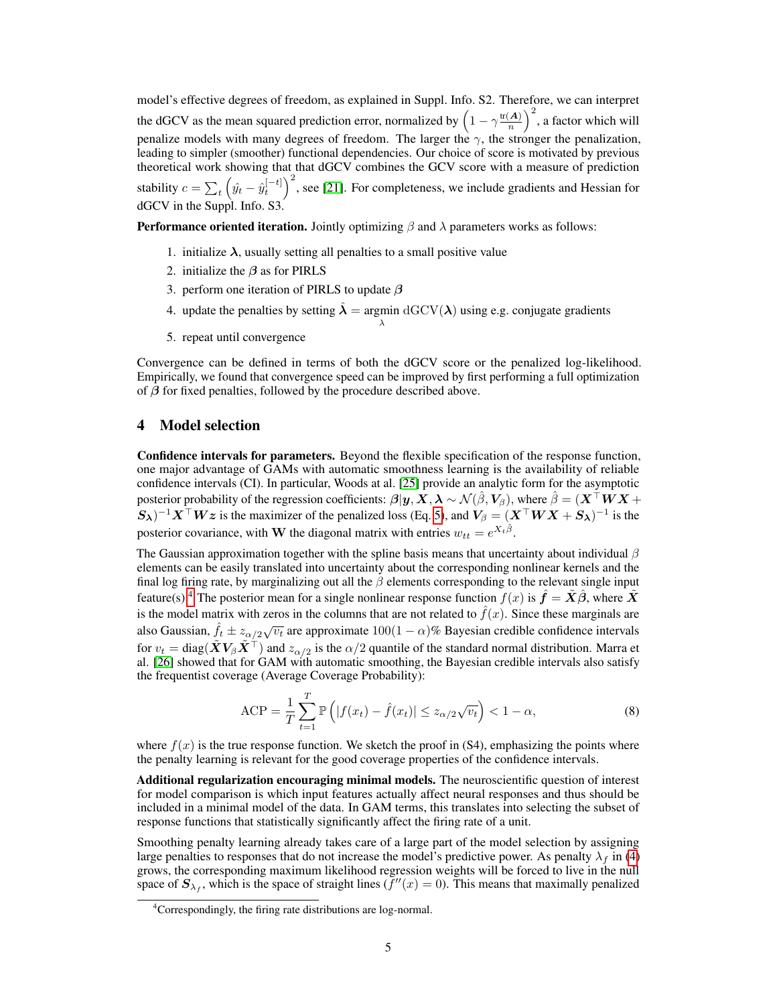model's effective degrees of freedom, as explained in Suppl. Info. S2. Therefore, we can interpret the dGCV as the mean squared prediction error, normalized by  $\left(1 - \gamma \frac{\text{tr}(A)}{n}\right)$  $\left(\frac{A}{n}\right)^2$ , a factor which will penalize models with many degrees of freedom. The larger the  $\gamma$ , the stronger the penalization, leading to simpler (smoother) functional dependencies. Our choice of score is motivated by previous theoretical work showing that that dGCV combines the GCV score with a measure of prediction stability  $c = \sum_t \left(\hat{y}_t - \hat{y}_t^{[-t]}\right)^2$ , see [\[21\]](#page-9-17). For completeness, we include gradients and Hessian for dGCV in the Suppl. Info. S3.

**Performance oriented iteration.** Jointly optimizing  $\beta$  and  $\lambda$  parameters works as follows:

- 1. initialize  $\lambda$ , usually setting all penalties to a small positive value
- 2. initialize the  $\beta$  as for PIRLS
- 3. perform one iteration of PIRLS to update  $\beta$
- 4. update the penalties by setting  $\hat{\lambda} = \underset{\lambda}{\text{argmin}} \, \mathrm{dGCV}(\lambda)$  using e.g. conjugate gradients
- 5. repeat until convergence

Convergence can be defined in terms of both the dGCV score or the penalized log-likelihood. Empirically, we found that convergence speed can be improved by first performing a full optimization of  $\beta$  for fixed penalties, followed by the procedure described above.

# 4 Model selection

Confidence intervals for parameters. Beyond the flexible specification of the response function, one major advantage of GAMs with automatic smoothness learning is the availability of reliable confidence intervals (CI). In particular, Woods at al. [\[25\]](#page-10-1) provide an analytic form for the asymptotic posterior probability of the regression coefficients:  $\beta|y, X, \lambda \sim \mathcal{N}(\hat{\beta}, V_{\beta})$ , where  $\hat{\beta} = (X^{\top}WX + Y^{\top}Y^{\top}Y)$  $(S_\lambda)^{-1}X^{\top}Wz$  is the maximizer of the penalized loss (Eq. [5\)](#page-2-2), and  $V_\beta = (X^{\top}WX + S_\lambda)^{-1}$  is the posterior covariance, with **W** the diagonal matrix with entries  $w_{tt} = e^{X_t \hat{\beta}}$ .

The Gaussian approximation together with the spline basis means that uncertainty about individual  $\beta$ elements can be easily translated into uncertainty about the corresponding nonlinear kernels and the final log firing rate, by marginalizing out all the  $\beta$  elements corresponding to the relevant single input feature(s).<sup>[4](#page-4-0)</sup> The posterior mean for a single nonlinear response function  $f(x)$  is  $\hat{f} = \tilde{X}\hat{\beta}$ , where  $\tilde{X}$ is the model matrix with zeros in the columns that are not related to  $\hat{f}(x)$ . Since these marginals are also Gaussian,  $\hat{f}_t \pm z_{\alpha/2} \sqrt{v_t}$  are approximate  $100(1-\alpha)\%$  Bayesian credible confidence intervals for  $v_t = \text{diag}(\tilde{\bm{X}} \bm{V}_{\beta} \tilde{\bm{X}}^\top)$  and  $z_{\alpha/2}$  is the  $\alpha/2$  quantile of the standard normal distribution. Marra et al. [\[26\]](#page-10-2) showed that for GAM with automatic smoothing, the Bayesian credible intervals also satisfy the frequentist coverage (Average Coverage Probability):

$$
\text{ACP} = \frac{1}{T} \sum_{t=1}^{T} \mathbb{P}\left(|f(x_t) - \hat{f}(x_t)| \le z_{\alpha/2} \sqrt{v_t}\right) < 1 - \alpha,\tag{8}
$$

where  $f(x)$  is the true response function. We sketch the proof in (S4), emphasizing the points where the penalty learning is relevant for the good coverage properties of the confidence intervals.

Additional regularization encouraging minimal models. The neuroscientific question of interest for model comparison is which input features actually affect neural responses and thus should be included in a minimal model of the data. In GAM terms, this translates into selecting the subset of response functions that statistically significantly affect the firing rate of a unit.

Smoothing penalty learning already takes care of a large part of the model selection by assigning large penalties to responses that do not increase the model's predictive power. As penalty  $\lambda_f$  in [\(4\)](#page-2-3) grows, the corresponding maximum likelihood regression weights will be forced to live in the null space of  $S_{\lambda_f}$ , which is the space of straight lines  $(f''(x) = 0)$ . This means that maximally penalized

<span id="page-4-0"></span><sup>4</sup>Correspondingly, the firing rate distributions are log-normal.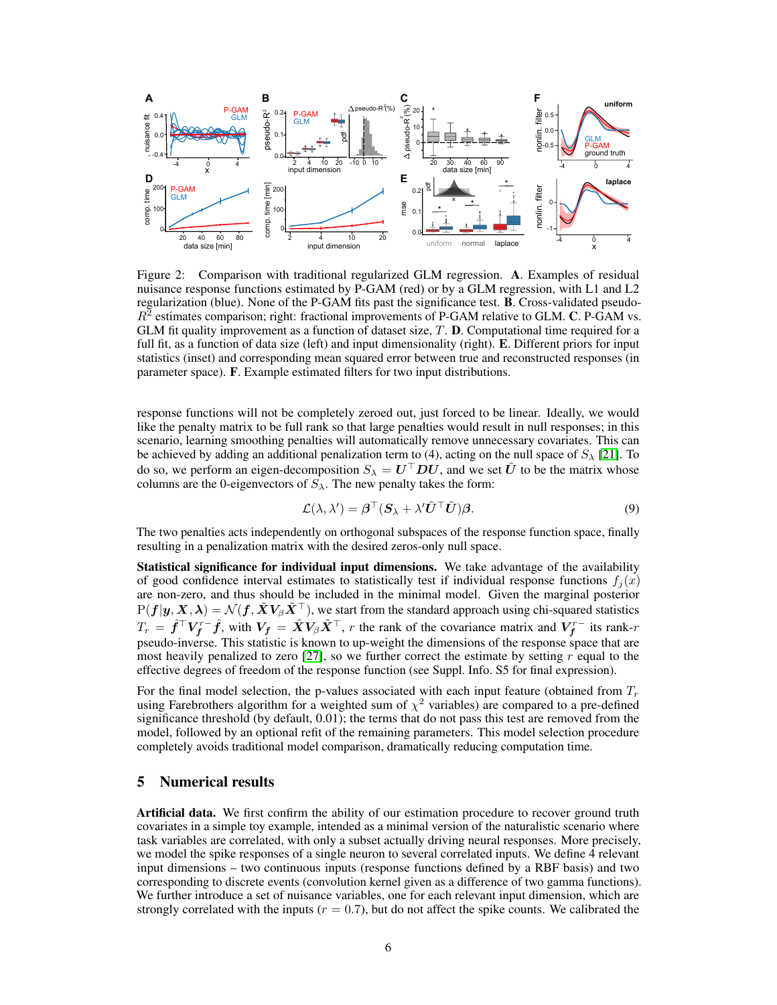

<span id="page-5-0"></span>Figure 2: Comparison with traditional regularized GLM regression. A. Examples of residual nuisance response functions estimated by P-GAM (red) or by a GLM regression, with L1 and L2 regularization (blue). None of the P-GAM fits past the significance test. B. Cross-validated pseudo- $R^2$  estimates comparison; right: fractional improvements of P-GAM relative to GLM. C. P-GAM vs. GLM fit quality improvement as a function of dataset size, T. D. Computational time required for a full fit, as a function of data size (left) and input dimensionality (right). E. Different priors for input statistics (inset) and corresponding mean squared error between true and reconstructed responses (in parameter space). F. Example estimated filters for two input distributions.

response functions will not be completely zeroed out, just forced to be linear. Ideally, we would like the penalty matrix to be full rank so that large penalties would result in null responses; in this scenario, learning smoothing penalties will automatically remove unnecessary covariates. This can be achieved by adding an additional penalization term to (4), acting on the null space of  $S_\lambda$  [\[21\]](#page-9-17). To do so, we perform an eigen-decomposition  $S_\lambda = U^\top D U$ , and we set  $\tilde{U}$  to be the matrix whose columns are the 0-eigenvectors of  $S_{\lambda}$ . The new penalty takes the form:

$$
\mathcal{L}(\lambda, \lambda') = \boldsymbol{\beta}^\top (\boldsymbol{S}_{\lambda} + \lambda' \tilde{\boldsymbol{U}}^\top \tilde{\boldsymbol{U}}) \boldsymbol{\beta}.
$$
 (9)

The two penalties acts independently on orthogonal subspaces of the response function space, finally resulting in a penalization matrix with the desired zeros-only null space.

Statistical significance for individual input dimensions. We take advantage of the availability of good confidence interval estimates to statistically test if individual response functions  $f_i(x)$ are non-zero, and thus should be included in the minimal model. Given the marginal posterior  $P(f|y, X, \lambda) = \mathcal{N}(f, \tilde{X}V_{\beta} \tilde{X}^{\top})$ , we start from the standard approach using chi-squared statistics  $T_r = \hat{f}^\top V_f^{r-} \hat{f}$ , with  $V_f = \tilde{X} V_\beta \tilde{X}^\top$ , r the rank of the covariance matrix and  $V_f^{r-}$  its rank-r pseudo-inverse. This statistic is known to up-weight the dimensions of the response space that are most heavily penalized to zero  $[27]$ , so we further correct the estimate by setting r equal to the effective degrees of freedom of the response function (see Suppl. Info. S5 for final expression).

For the final model selection, the p-values associated with each input feature (obtained from  $T_r$ using Farebrothers algorithm for a weighted sum of  $\chi^2$  variables) are compared to a pre-defined significance threshold (by default, 0.01); the terms that do not pass this test are removed from the model, followed by an optional refit of the remaining parameters. This model selection procedure completely avoids traditional model comparison, dramatically reducing computation time.

# 5 Numerical results

Artificial data. We first confirm the ability of our estimation procedure to recover ground truth covariates in a simple toy example, intended as a minimal version of the naturalistic scenario where task variables are correlated, with only a subset actually driving neural responses. More precisely, we model the spike responses of a single neuron to several correlated inputs. We define 4 relevant input dimensions – two continuous inputs (response functions defined by a RBF basis) and two corresponding to discrete events (convolution kernel given as a difference of two gamma functions). We further introduce a set of nuisance variables, one for each relevant input dimension, which are strongly correlated with the inputs ( $r = 0.7$ ), but do not affect the spike counts. We calibrated the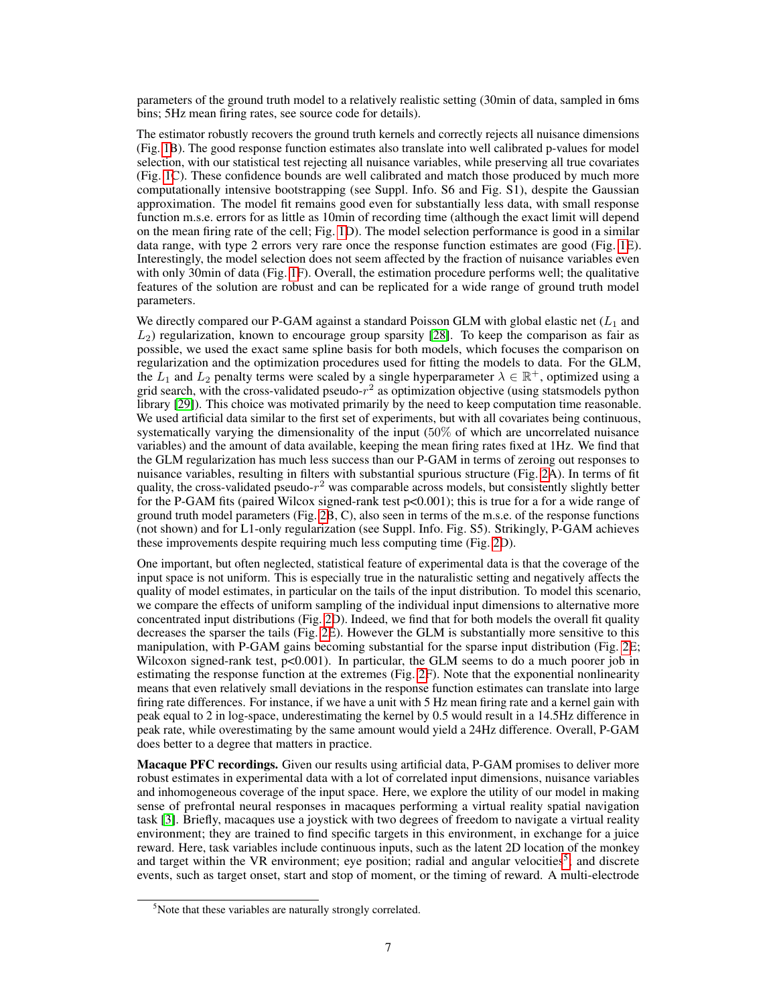parameters of the ground truth model to a relatively realistic setting (30min of data, sampled in 6ms bins; 5Hz mean firing rates, see source code for details).

The estimator robustly recovers the ground truth kernels and correctly rejects all nuisance dimensions (Fig. [1B](#page-2-0)). The good response function estimates also translate into well calibrated p-values for model selection, with our statistical test rejecting all nuisance variables, while preserving all true covariates (Fig. [1C](#page-2-0)). These confidence bounds are well calibrated and match those produced by much more computationally intensive bootstrapping (see Suppl. Info. S6 and Fig. S1), despite the Gaussian approximation. The model fit remains good even for substantially less data, with small response function m.s.e. errors for as little as 10min of recording time (although the exact limit will depend on the mean firing rate of the cell; Fig. [1D](#page-2-0)). The model selection performance is good in a similar data range, with type 2 errors very rare once the response function estimates are good (Fig. [1E](#page-2-0)). Interestingly, the model selection does not seem affected by the fraction of nuisance variables even with only 30min of data (Fig. [1F](#page-2-0)). Overall, the estimation procedure performs well; the qualitative features of the solution are robust and can be replicated for a wide range of ground truth model parameters.

We directly compared our P-GAM against a standard Poisson GLM with global elastic net  $(L_1)$  and  $L_2$ ) regularization, known to encourage group sparsity [\[28\]](#page-10-4). To keep the comparison as fair as possible, we used the exact same spline basis for both models, which focuses the comparison on regularization and the optimization procedures used for fitting the models to data. For the GLM, the  $L_1$  and  $L_2$  penalty terms were scaled by a single hyperparameter  $\lambda \in \mathbb{R}^+$ , optimized using a grid search, with the cross-validated pseudo- $r^2$  as optimization objective (using statsmodels python library [\[29\]](#page-10-5)). This choice was motivated primarily by the need to keep computation time reasonable. We used artificial data similar to the first set of experiments, but with all covariates being continuous, systematically varying the dimensionality of the input (50% of which are uncorrelated nuisance variables) and the amount of data available, keeping the mean firing rates fixed at 1Hz. We find that the GLM regularization has much less success than our P-GAM in terms of zeroing out responses to nuisance variables, resulting in filters with substantial spurious structure (Fig. [2A](#page-5-0)). In terms of fit quality, the cross-validated pseudo- $r^2$  was comparable across models, but consistently slightly better for the P-GAM fits (paired Wilcox signed-rank test p<0.001); this is true for a for a wide range of ground truth model parameters (Fig. [2B](#page-5-0), C), also seen in terms of the m.s.e. of the response functions (not shown) and for L1-only regularization (see Suppl. Info. Fig. S5). Strikingly, P-GAM achieves these improvements despite requiring much less computing time (Fig. [2D](#page-5-0)).

One important, but often neglected, statistical feature of experimental data is that the coverage of the input space is not uniform. This is especially true in the naturalistic setting and negatively affects the quality of model estimates, in particular on the tails of the input distribution. To model this scenario, we compare the effects of uniform sampling of the individual input dimensions to alternative more concentrated input distributions (Fig. [2D](#page-5-0)). Indeed, we find that for both models the overall fit quality decreases the sparser the tails (Fig. [2E](#page-5-0)). However the GLM is substantially more sensitive to this manipulation, with P-GAM gains becoming substantial for the sparse input distribution (Fig. [2E](#page-5-0); Wilcoxon signed-rank test,  $p<0.001$ ). In particular, the GLM seems to do a much poorer job in estimating the response function at the extremes (Fig. [2F](#page-5-0)). Note that the exponential nonlinearity means that even relatively small deviations in the response function estimates can translate into large firing rate differences. For instance, if we have a unit with 5 Hz mean firing rate and a kernel gain with peak equal to 2 in log-space, underestimating the kernel by 0.5 would result in a 14.5Hz difference in peak rate, while overestimating by the same amount would yield a 24Hz difference. Overall, P-GAM does better to a degree that matters in practice.

Macaque PFC recordings. Given our results using artificial data, P-GAM promises to deliver more robust estimates in experimental data with a lot of correlated input dimensions, nuisance variables and inhomogeneous coverage of the input space. Here, we explore the utility of our model in making sense of prefrontal neural responses in macaques performing a virtual reality spatial navigation task [\[3\]](#page-8-2). Briefly, macaques use a joystick with two degrees of freedom to navigate a virtual reality environment; they are trained to find specific targets in this environment, in exchange for a juice reward. Here, task variables include continuous inputs, such as the latent 2D location of the monkey and target within the VR environment; eye position; radial and angular velocities<sup>[5](#page-6-0)</sup>; and discrete events, such as target onset, start and stop of moment, or the timing of reward. A multi-electrode

<span id="page-6-0"></span><sup>&</sup>lt;sup>5</sup>Note that these variables are naturally strongly correlated.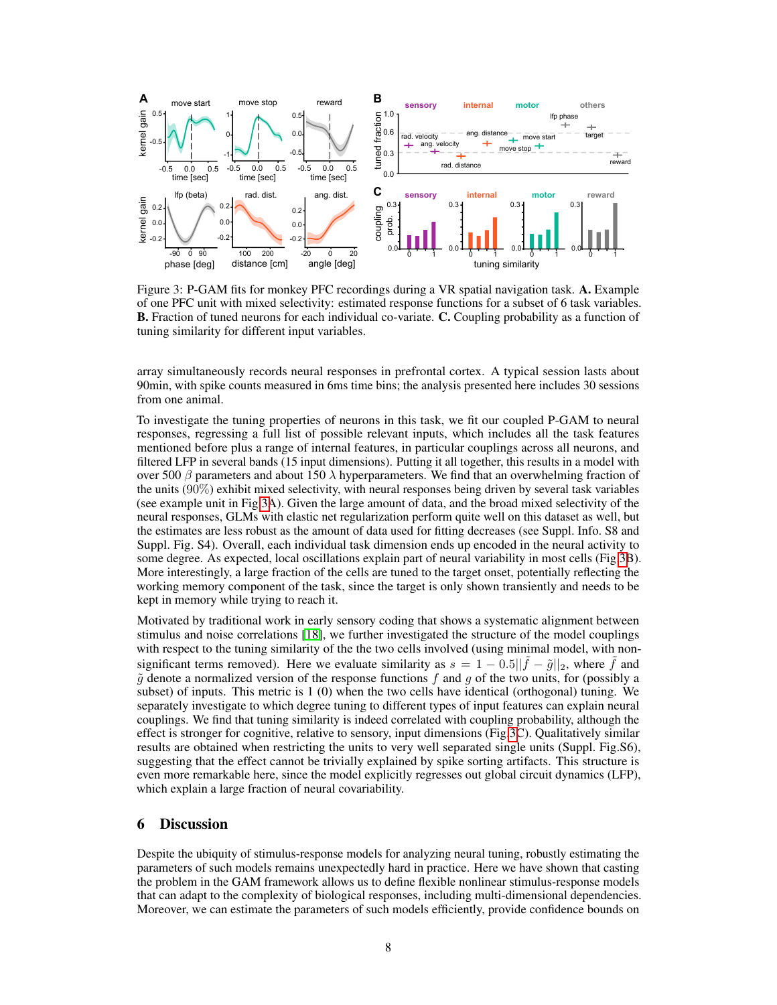

<span id="page-7-0"></span>Figure 3: P-GAM fits for monkey PFC recordings during a VR spatial navigation task. A. Example of one PFC unit with mixed selectivity: estimated response functions for a subset of 6 task variables. B. Fraction of tuned neurons for each individual co-variate. C. Coupling probability as a function of tuning similarity for different input variables.

array simultaneously records neural responses in prefrontal cortex. A typical session lasts about 90min, with spike counts measured in 6ms time bins; the analysis presented here includes 30 sessions from one animal.

To investigate the tuning properties of neurons in this task, we fit our coupled P-GAM to neural responses, regressing a full list of possible relevant inputs, which includes all the task features mentioned before plus a range of internal features, in particular couplings across all neurons, and filtered LFP in several bands (15 input dimensions). Putting it all together, this results in a model with over 500  $\beta$  parameters and about 150  $\lambda$  hyperparameters. We find that an overwhelming fraction of the units (90%) exhibit mixed selectivity, with neural responses being driven by several task variables (see example unit in Fig[.3A](#page-7-0)). Given the large amount of data, and the broad mixed selectivity of the neural responses, GLMs with elastic net regularization perform quite well on this dataset as well, but the estimates are less robust as the amount of data used for fitting decreases (see Suppl. Info. S8 and Suppl. Fig. S4). Overall, each individual task dimension ends up encoded in the neural activity to some degree. As expected, local oscillations explain part of neural variability in most cells (Fig[.3B](#page-7-0)). More interestingly, a large fraction of the cells are tuned to the target onset, potentially reflecting the working memory component of the task, since the target is only shown transiently and needs to be kept in memory while trying to reach it.

Motivated by traditional work in early sensory coding that shows a systematic alignment between stimulus and noise correlations [\[18\]](#page-9-14), we further investigated the structure of the model couplings with respect to the tuning similarity of the the two cells involved (using minimal model, with nonsignificant terms removed). Here we evaluate similarity as  $s = 1 - 0.5||\tilde{f} - \tilde{g}||_2$ , where  $\tilde{f}$  and  $\tilde{g}$  denote a normalized version of the response functions f and g of the two units, for (possibly a subset) of inputs. This metric is 1 (0) when the two cells have identical (orthogonal) tuning. We separately investigate to which degree tuning to different types of input features can explain neural couplings. We find that tuning similarity is indeed correlated with coupling probability, although the effect is stronger for cognitive, relative to sensory, input dimensions (Fig[.3C](#page-7-0)). Qualitatively similar results are obtained when restricting the units to very well separated single units (Suppl. Fig.S6), suggesting that the effect cannot be trivially explained by spike sorting artifacts. This structure is even more remarkable here, since the model explicitly regresses out global circuit dynamics (LFP), which explain a large fraction of neural covariability.

## 6 Discussion

Despite the ubiquity of stimulus-response models for analyzing neural tuning, robustly estimating the parameters of such models remains unexpectedly hard in practice. Here we have shown that casting the problem in the GAM framework allows us to define flexible nonlinear stimulus-response models that can adapt to the complexity of biological responses, including multi-dimensional dependencies. Moreover, we can estimate the parameters of such models efficiently, provide confidence bounds on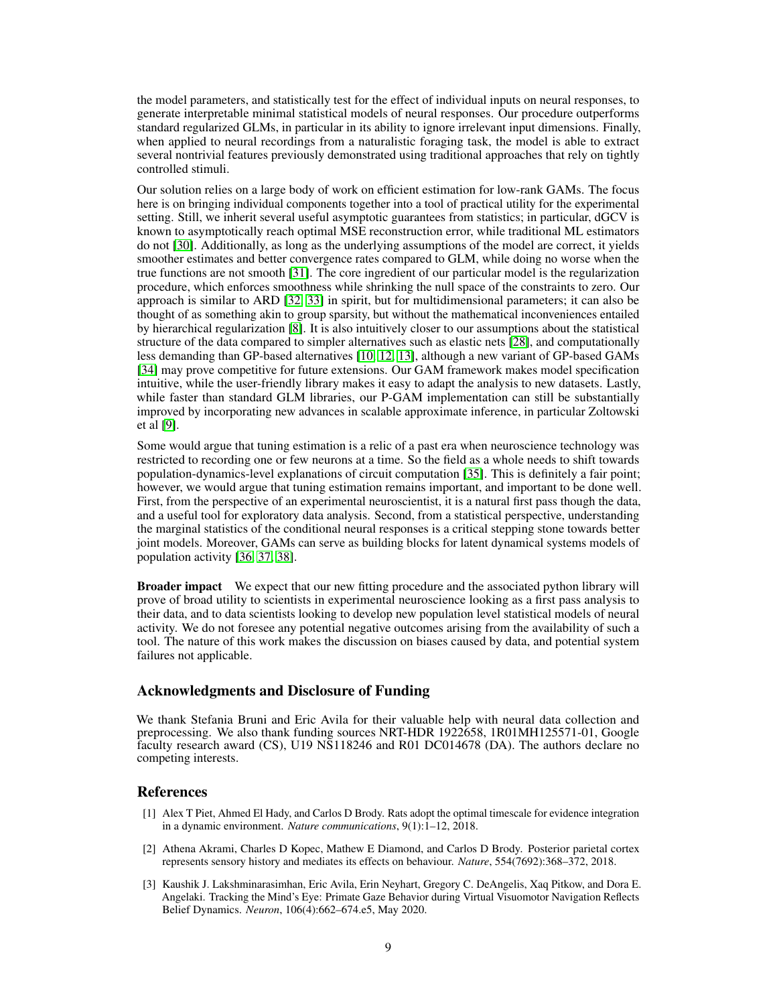the model parameters, and statistically test for the effect of individual inputs on neural responses, to generate interpretable minimal statistical models of neural responses. Our procedure outperforms standard regularized GLMs, in particular in its ability to ignore irrelevant input dimensions. Finally, when applied to neural recordings from a naturalistic foraging task, the model is able to extract several nontrivial features previously demonstrated using traditional approaches that rely on tightly controlled stimuli.

Our solution relies on a large body of work on efficient estimation for low-rank GAMs. The focus here is on bringing individual components together into a tool of practical utility for the experimental setting. Still, we inherit several useful asymptotic guarantees from statistics; in particular, dGCV is known to asymptotically reach optimal MSE reconstruction error, while traditional ML estimators do not [\[30\]](#page-10-6). Additionally, as long as the underlying assumptions of the model are correct, it yields smoother estimates and better convergence rates compared to GLM, while doing no worse when the true functions are not smooth [\[31\]](#page-10-7). The core ingredient of our particular model is the regularization procedure, which enforces smoothness while shrinking the null space of the constraints to zero. Our approach is similar to ARD [\[32,](#page-10-8) [33\]](#page-10-9) in spirit, but for multidimensional parameters; it can also be thought of as something akin to group sparsity, but without the mathematical inconveniences entailed by hierarchical regularization [\[8\]](#page-9-4). It is also intuitively closer to our assumptions about the statistical structure of the data compared to simpler alternatives such as elastic nets [\[28\]](#page-10-4), and computationally less demanding than GP-based alternatives [\[10,](#page-9-6) [12,](#page-9-8) [13\]](#page-9-9), although a new variant of GP-based GAMs [\[34\]](#page-10-10) may prove competitive for future extensions. Our GAM framework makes model specification intuitive, while the user-friendly library makes it easy to adapt the analysis to new datasets. Lastly, while faster than standard GLM libraries, our P-GAM implementation can still be substantially improved by incorporating new advances in scalable approximate inference, in particular Zoltowski et al [\[9\]](#page-9-5).

Some would argue that tuning estimation is a relic of a past era when neuroscience technology was restricted to recording one or few neurons at a time. So the field as a whole needs to shift towards population-dynamics-level explanations of circuit computation [\[35\]](#page-10-11). This is definitely a fair point; however, we would argue that tuning estimation remains important, and important to be done well. First, from the perspective of an experimental neuroscientist, it is a natural first pass though the data, and a useful tool for exploratory data analysis. Second, from a statistical perspective, understanding the marginal statistics of the conditional neural responses is a critical stepping stone towards better joint models. Moreover, GAMs can serve as building blocks for latent dynamical systems models of population activity [\[36,](#page-10-12) [37,](#page-10-13) [38\]](#page-10-14).

**Broader impact** We expect that our new fitting procedure and the associated python library will prove of broad utility to scientists in experimental neuroscience looking as a first pass analysis to their data, and to data scientists looking to develop new population level statistical models of neural activity. We do not foresee any potential negative outcomes arising from the availability of such a tool. The nature of this work makes the discussion on biases caused by data, and potential system failures not applicable.

# Acknowledgments and Disclosure of Funding

We thank Stefania Bruni and Eric Avila for their valuable help with neural data collection and preprocessing. We also thank funding sources NRT-HDR 1922658, 1R01MH125571-01, Google faculty research award (CS), U19 NS118246 and R01 DC014678 (DA). The authors declare no competing interests.

## References

- <span id="page-8-0"></span>[1] Alex T Piet, Ahmed El Hady, and Carlos D Brody. Rats adopt the optimal timescale for evidence integration in a dynamic environment. *Nature communications*, 9(1):1–12, 2018.
- <span id="page-8-1"></span>[2] Athena Akrami, Charles D Kopec, Mathew E Diamond, and Carlos D Brody. Posterior parietal cortex represents sensory history and mediates its effects on behaviour. *Nature*, 554(7692):368–372, 2018.
- <span id="page-8-2"></span>[3] Kaushik J. Lakshminarasimhan, Eric Avila, Erin Neyhart, Gregory C. DeAngelis, Xaq Pitkow, and Dora E. Angelaki. Tracking the Mind's Eye: Primate Gaze Behavior during Virtual Visuomotor Navigation Reflects Belief Dynamics. *Neuron*, 106(4):662–674.e5, May 2020.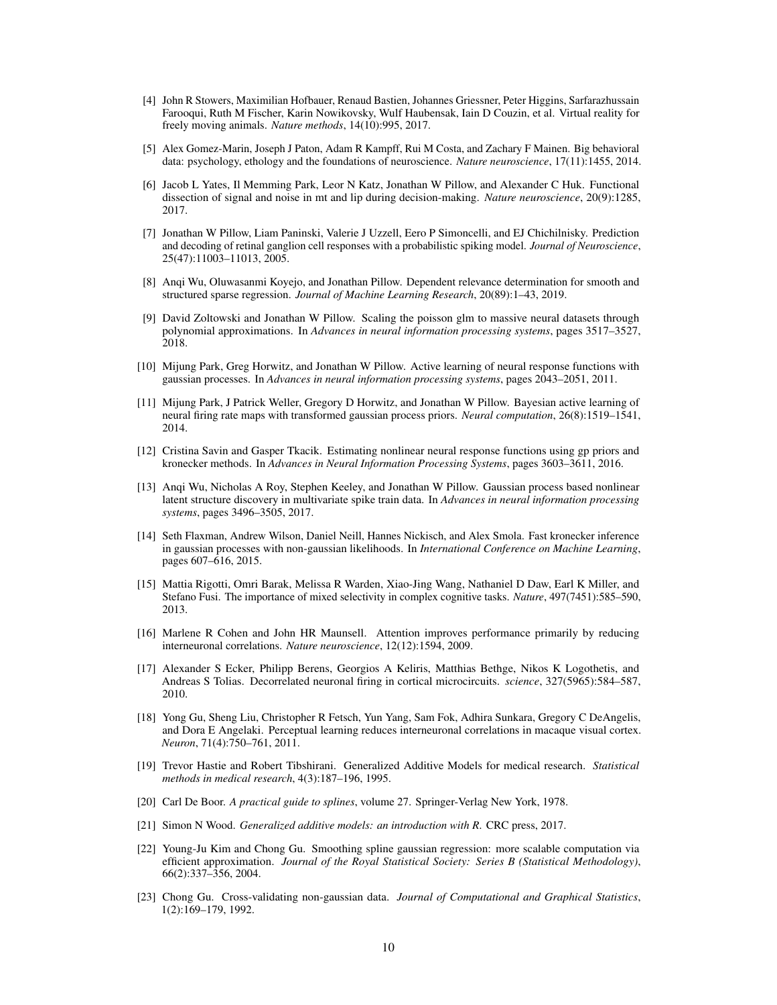- <span id="page-9-0"></span>[4] John R Stowers, Maximilian Hofbauer, Renaud Bastien, Johannes Griessner, Peter Higgins, Sarfarazhussain Farooqui, Ruth M Fischer, Karin Nowikovsky, Wulf Haubensak, Iain D Couzin, et al. Virtual reality for freely moving animals. *Nature methods*, 14(10):995, 2017.
- <span id="page-9-1"></span>[5] Alex Gomez-Marin, Joseph J Paton, Adam R Kampff, Rui M Costa, and Zachary F Mainen. Big behavioral data: psychology, ethology and the foundations of neuroscience. *Nature neuroscience*, 17(11):1455, 2014.
- <span id="page-9-2"></span>[6] Jacob L Yates, Il Memming Park, Leor N Katz, Jonathan W Pillow, and Alexander C Huk. Functional dissection of signal and noise in mt and lip during decision-making. *Nature neuroscience*, 20(9):1285, 2017.
- <span id="page-9-3"></span>[7] Jonathan W Pillow, Liam Paninski, Valerie J Uzzell, Eero P Simoncelli, and EJ Chichilnisky. Prediction and decoding of retinal ganglion cell responses with a probabilistic spiking model. *Journal of Neuroscience*, 25(47):11003–11013, 2005.
- <span id="page-9-4"></span>[8] Anqi Wu, Oluwasanmi Koyejo, and Jonathan Pillow. Dependent relevance determination for smooth and structured sparse regression. *Journal of Machine Learning Research*, 20(89):1–43, 2019.
- <span id="page-9-5"></span>[9] David Zoltowski and Jonathan W Pillow. Scaling the poisson glm to massive neural datasets through polynomial approximations. In *Advances in neural information processing systems*, pages 3517–3527, 2018.
- <span id="page-9-6"></span>[10] Mijung Park, Greg Horwitz, and Jonathan W Pillow. Active learning of neural response functions with gaussian processes. In *Advances in neural information processing systems*, pages 2043–2051, 2011.
- <span id="page-9-7"></span>[11] Mijung Park, J Patrick Weller, Gregory D Horwitz, and Jonathan W Pillow. Bayesian active learning of neural firing rate maps with transformed gaussian process priors. *Neural computation*, 26(8):1519–1541, 2014.
- <span id="page-9-8"></span>[12] Cristina Savin and Gasper Tkacik. Estimating nonlinear neural response functions using gp priors and kronecker methods. In *Advances in Neural Information Processing Systems*, pages 3603–3611, 2016.
- <span id="page-9-9"></span>[13] Anqi Wu, Nicholas A Roy, Stephen Keeley, and Jonathan W Pillow. Gaussian process based nonlinear latent structure discovery in multivariate spike train data. In *Advances in neural information processing systems*, pages 3496–3505, 2017.
- <span id="page-9-10"></span>[14] Seth Flaxman, Andrew Wilson, Daniel Neill, Hannes Nickisch, and Alex Smola. Fast kronecker inference in gaussian processes with non-gaussian likelihoods. In *International Conference on Machine Learning*, pages 607–616, 2015.
- <span id="page-9-11"></span>[15] Mattia Rigotti, Omri Barak, Melissa R Warden, Xiao-Jing Wang, Nathaniel D Daw, Earl K Miller, and Stefano Fusi. The importance of mixed selectivity in complex cognitive tasks. *Nature*, 497(7451):585–590, 2013.
- <span id="page-9-12"></span>[16] Marlene R Cohen and John HR Maunsell. Attention improves performance primarily by reducing interneuronal correlations. *Nature neuroscience*, 12(12):1594, 2009.
- <span id="page-9-13"></span>[17] Alexander S Ecker, Philipp Berens, Georgios A Keliris, Matthias Bethge, Nikos K Logothetis, and Andreas S Tolias. Decorrelated neuronal firing in cortical microcircuits. *science*, 327(5965):584–587, 2010.
- <span id="page-9-14"></span>[18] Yong Gu, Sheng Liu, Christopher R Fetsch, Yun Yang, Sam Fok, Adhira Sunkara, Gregory C DeAngelis, and Dora E Angelaki. Perceptual learning reduces interneuronal correlations in macaque visual cortex. *Neuron*, 71(4):750–761, 2011.
- <span id="page-9-15"></span>[19] Trevor Hastie and Robert Tibshirani. Generalized Additive Models for medical research. *Statistical methods in medical research*, 4(3):187–196, 1995.
- <span id="page-9-16"></span>[20] Carl De Boor. *A practical guide to splines*, volume 27. Springer-Verlag New York, 1978.
- <span id="page-9-17"></span>[21] Simon N Wood. *Generalized additive models: an introduction with R*. CRC press, 2017.
- <span id="page-9-18"></span>[22] Young-Ju Kim and Chong Gu. Smoothing spline gaussian regression: more scalable computation via efficient approximation. *Journal of the Royal Statistical Society: Series B (Statistical Methodology)*, 66(2):337–356, 2004.
- <span id="page-9-19"></span>[23] Chong Gu. Cross-validating non-gaussian data. *Journal of Computational and Graphical Statistics*, 1(2):169–179, 1992.